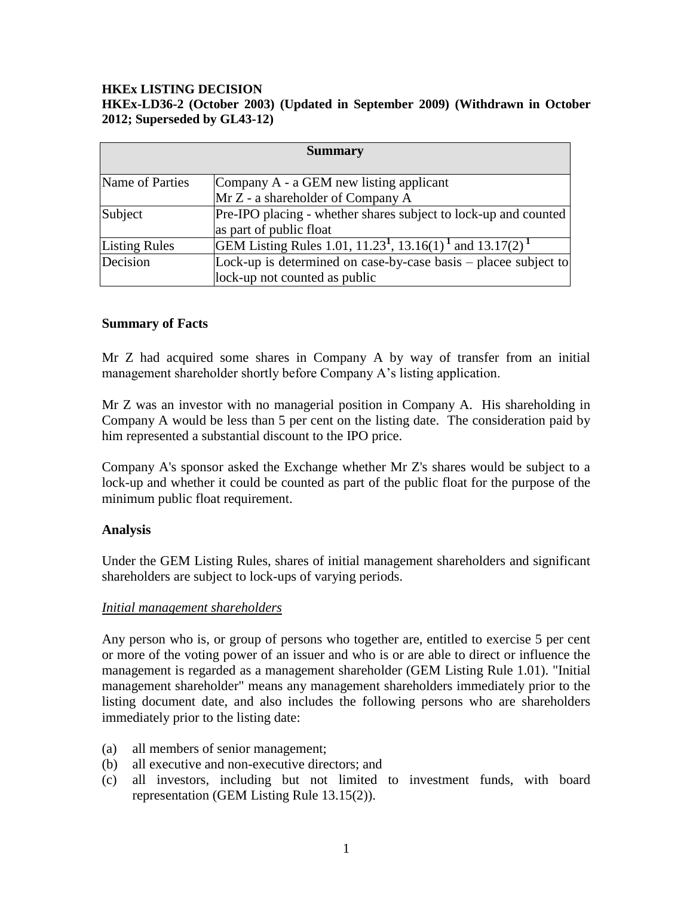### **HKEx LISTING DECISION HKEx-LD36-2 (October 2003) (Updated in September 2009) (Withdrawn in October 2012; Superseded by GL43-12)**

| <b>Summary</b>       |                                                                                              |
|----------------------|----------------------------------------------------------------------------------------------|
|                      |                                                                                              |
| Name of Parties      | Company A - a GEM new listing applicant                                                      |
|                      | $Mr Z - a shareholder of Company A$                                                          |
| Subject              | Pre-IPO placing - whether shares subject to lock-up and counted                              |
|                      | as part of public float                                                                      |
| <b>Listing Rules</b> | GEM Listing Rules 1.01, 11.23 <sup>1</sup> , 13.16(1) <sup>1</sup> and 13.17(2) <sup>1</sup> |
| Decision             | Lock-up is determined on case-by-case basis – placee subject to                              |
|                      | lock-up not counted as public                                                                |

### **Summary of Facts**

Mr Z had acquired some shares in Company A by way of transfer from an initial management shareholder shortly before Company A's listing application.

Mr Z was an investor with no managerial position in Company A. His shareholding in Company A would be less than 5 per cent on the listing date. The consideration paid by him represented a substantial discount to the IPO price.

Company A's sponsor asked the Exchange whether Mr Z's shares would be subject to a lock-up and whether it could be counted as part of the public float for the purpose of the minimum public float requirement.

### **Analysis**

Under the GEM Listing Rules, shares of initial management shareholders and significant shareholders are subject to lock-ups of varying periods.

### *Initial management shareholders*

Any person who is, or group of persons who together are, entitled to exercise 5 per cent or more of the voting power of an issuer and who is or are able to direct or influence the management is regarded as a management shareholder (GEM Listing Rule 1.01). "Initial management shareholder" means any management shareholders immediately prior to the listing document date, and also includes the following persons who are shareholders immediately prior to the listing date:

- (a) all members of senior management;
- (b) all executive and non-executive directors; and
- (c) all investors, including but not limited to investment funds, with board representation (GEM Listing Rule 13.15(2)).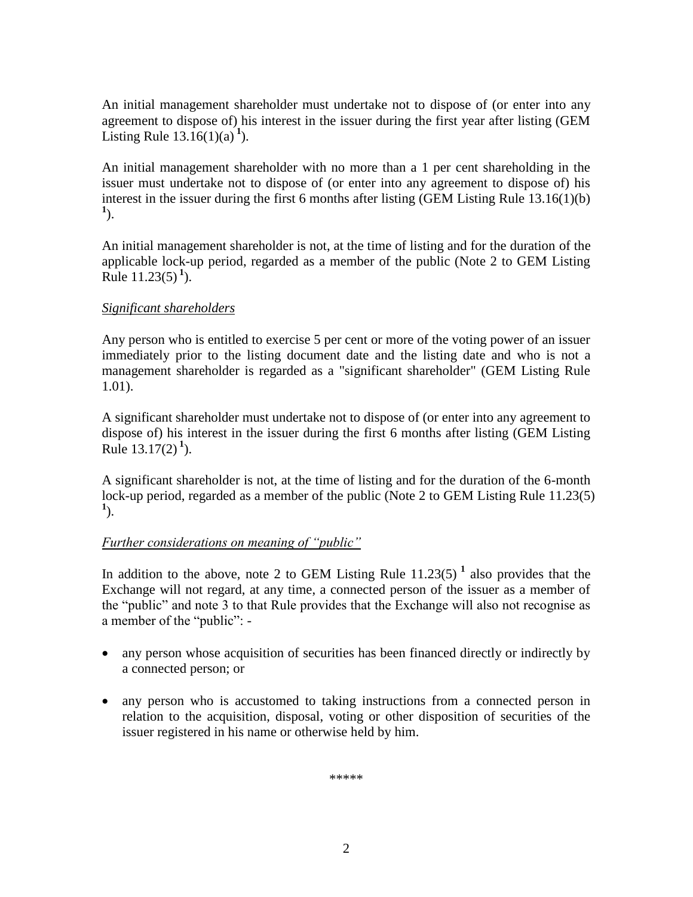An initial management shareholder must undertake not to dispose of (or enter into any agreement to dispose of) his interest in the issuer during the first year after listing (GEM Listing Rule  $13.16(1)(a)^{1}$ .

An initial management shareholder with no more than a 1 per cent shareholding in the issuer must undertake not to dispose of (or enter into any agreement to dispose of) his interest in the issuer during the first 6 months after listing (GEM Listing Rule 13.16(1)(b) **1** ).

An initial management shareholder is not, at the time of listing and for the duration of the applicable lock-up period, regarded as a member of the public (Note 2 to GEM Listing Rule  $11.23(5)^{1}$ ).

# *Significant shareholders*

Any person who is entitled to exercise 5 per cent or more of the voting power of an issuer immediately prior to the listing document date and the listing date and who is not a management shareholder is regarded as a "significant shareholder" (GEM Listing Rule 1.01).

A significant shareholder must undertake not to dispose of (or enter into any agreement to dispose of) his interest in the issuer during the first 6 months after listing (GEM Listing Rule  $13.17(2)^{1}$ ).

A significant shareholder is not, at the time of listing and for the duration of the 6-month lock-up period, regarded as a member of the public (Note 2 to GEM Listing Rule 11.23(5) **1** ).

## *Further considerations on meaning of "public"*

In addition to the above, note 2 to GEM Listing Rule  $11.23(5)$ <sup>1</sup> also provides that the Exchange will not regard, at any time, a connected person of the issuer as a member of the "public" and note 3 to that Rule provides that the Exchange will also not recognise as a member of the "public": -

- any person whose acquisition of securities has been financed directly or indirectly by a connected person; or
- any person who is accustomed to taking instructions from a connected person in relation to the acquisition, disposal, voting or other disposition of securities of the issuer registered in his name or otherwise held by him.

\*\*\*\*\*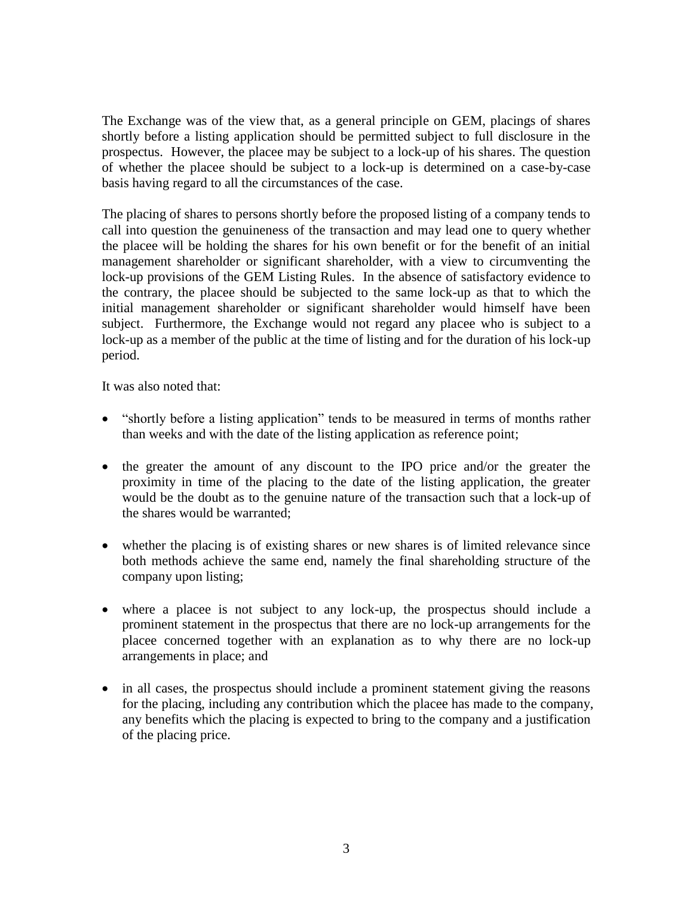The Exchange was of the view that, as a general principle on GEM, placings of shares shortly before a listing application should be permitted subject to full disclosure in the prospectus. However, the placee may be subject to a lock-up of his shares. The question of whether the placee should be subject to a lock-up is determined on a case-by-case basis having regard to all the circumstances of the case.

The placing of shares to persons shortly before the proposed listing of a company tends to call into question the genuineness of the transaction and may lead one to query whether the placee will be holding the shares for his own benefit or for the benefit of an initial management shareholder or significant shareholder, with a view to circumventing the lock-up provisions of the GEM Listing Rules. In the absence of satisfactory evidence to the contrary, the placee should be subjected to the same lock-up as that to which the initial management shareholder or significant shareholder would himself have been subject. Furthermore, the Exchange would not regard any placee who is subject to a lock-up as a member of the public at the time of listing and for the duration of his lock-up period.

It was also noted that:

- "shortly before a listing application" tends to be measured in terms of months rather than weeks and with the date of the listing application as reference point;
- the greater the amount of any discount to the IPO price and/or the greater the proximity in time of the placing to the date of the listing application, the greater would be the doubt as to the genuine nature of the transaction such that a lock-up of the shares would be warranted;
- whether the placing is of existing shares or new shares is of limited relevance since both methods achieve the same end, namely the final shareholding structure of the company upon listing;
- where a placee is not subject to any lock-up, the prospectus should include a prominent statement in the prospectus that there are no lock-up arrangements for the placee concerned together with an explanation as to why there are no lock-up arrangements in place; and
- in all cases, the prospectus should include a prominent statement giving the reasons for the placing, including any contribution which the placee has made to the company, any benefits which the placing is expected to bring to the company and a justification of the placing price.